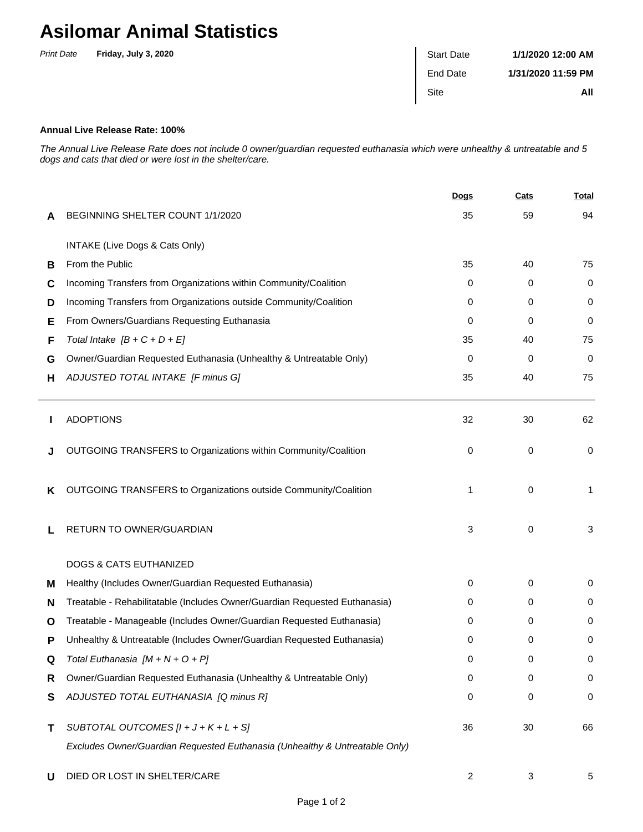## **Asilomar Animal Statistics**

| <b>Print Date</b> | Friday, July 3, 2020 | <b>Start Date</b> | 1/1/2020 12:00 AM  |
|-------------------|----------------------|-------------------|--------------------|
|                   |                      | End Date          | 1/31/2020 11:59 PM |
|                   |                      | <b>Site</b>       | All                |

## **Annual Live Release Rate: 100%**

The Annual Live Release Rate does not include 0 owner/guardian requested euthanasia which were unhealthy & untreatable and 5 dogs and cats that died or were lost in the shelter/care.

|   |                                                                             | <u>Dogs</u> | <b>Cats</b> | <b>Total</b> |
|---|-----------------------------------------------------------------------------|-------------|-------------|--------------|
| A | BEGINNING SHELTER COUNT 1/1/2020                                            | 35          | 59          | 94           |
|   | INTAKE (Live Dogs & Cats Only)                                              |             |             |              |
| В | From the Public                                                             | 35          | 40          | 75           |
| C | Incoming Transfers from Organizations within Community/Coalition            | 0           | 0           | 0            |
| D | Incoming Transfers from Organizations outside Community/Coalition           | 0           | 0           | 0            |
| Е | From Owners/Guardians Requesting Euthanasia                                 | 0           | 0           | 0            |
| F | Total Intake $[B + C + D + E]$                                              | 35          | 40          | 75           |
| G | Owner/Guardian Requested Euthanasia (Unhealthy & Untreatable Only)          | 0           | 0           | 0            |
| н | ADJUSTED TOTAL INTAKE [F minus G]                                           | 35          | 40          | 75           |
|   | <b>ADOPTIONS</b>                                                            | 32          | 30          | 62           |
|   | OUTGOING TRANSFERS to Organizations within Community/Coalition              | 0           | 0           | 0            |
| ĸ | OUTGOING TRANSFERS to Organizations outside Community/Coalition             | 1           | 0           | 1            |
| L | RETURN TO OWNER/GUARDIAN                                                    | 3           | 0           | 3            |
|   | <b>DOGS &amp; CATS EUTHANIZED</b>                                           |             |             |              |
| м | Healthy (Includes Owner/Guardian Requested Euthanasia)                      | 0           | 0           | 0            |
| N | Treatable - Rehabilitatable (Includes Owner/Guardian Requested Euthanasia)  | 0           | 0           | 0            |
| O | Treatable - Manageable (Includes Owner/Guardian Requested Euthanasia)       | 0           | 0           | 0            |
| Р | Unhealthy & Untreatable (Includes Owner/Guardian Requested Euthanasia)      | 0           | 0           | 0            |
|   | Total Euthanasia [M + N + O + P]                                            | 0           | 0           | 0            |
| R | Owner/Guardian Requested Euthanasia (Unhealthy & Untreatable Only)          | 0           | 0           | 0            |
| S | ADJUSTED TOTAL EUTHANASIA [Q minus R]                                       | 0           | 0           | 0            |
| Τ | SUBTOTAL OUTCOMES $[l + J + K + L + S]$                                     | 36          | 30          | 66           |
|   | Excludes Owner/Guardian Requested Euthanasia (Unhealthy & Untreatable Only) |             |             |              |
| U | DIED OR LOST IN SHELTER/CARE                                                | 2           | 3           | 5            |